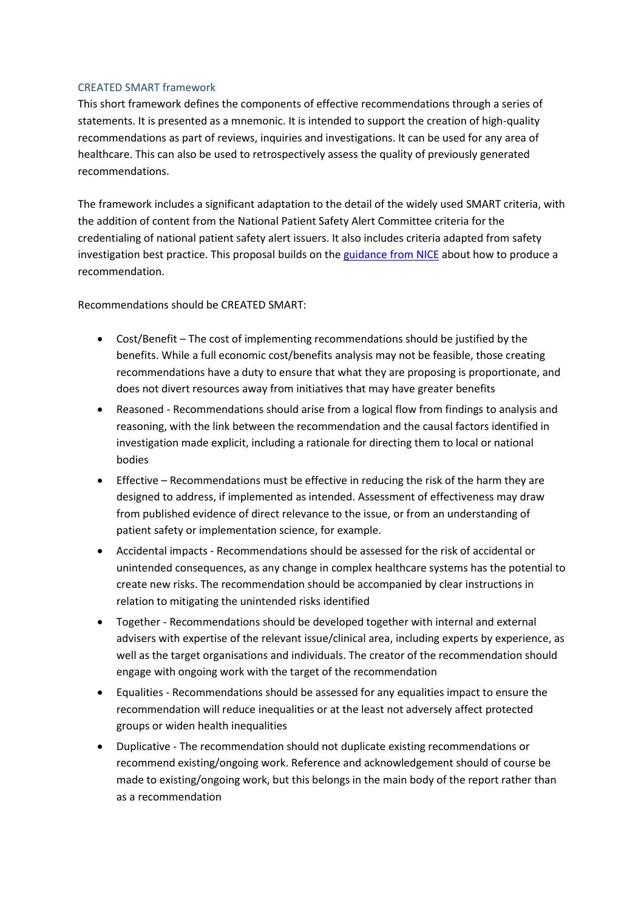## CREATED SMART framework

This short framework defines the components of effective recommendations through a series of statements. It is presented as a mnemonic. It is intended to support the creation of high-quality recommendations as part of reviews, inquiries and investigations. It can be used for any area of healthcare. This can also be used to retrospectively assess the quality of previously generated recommendations.

The framework includes a significant adaptation to the detail of the widely used SMART criteria, with the addition of content from the National Patient Safety Alert Committee criteria for the credentialing of national patient safety alert issuers. It also includes criteria adapted from safety investigation best practice. This proposal builds on th[e guidance from NICE](https://www.nice.org.uk/media/default/about/what-we-do/our-programmes/developing-nice-guidelines-the-manual.pdf) about how to produce a recommendation.

Recommendations should be CREATED SMART:

- Cost/Benefit The cost of implementing recommendations should be justified by the benefits. While a full economic cost/benefits analysis may not be feasible, those creating recommendations have a duty to ensure that what they are proposing is proportionate, and does not divert resources away from initiatives that may have greater benefits
- Reasoned Recommendations should arise from a logical flow from findings to analysis and reasoning, with the link between the recommendation and the causal factors identified in investigation made explicit, including a rationale for directing them to local or national bodies
- Effective Recommendations must be effective in reducing the risk of the harm they are designed to address, if implemented as intended. Assessment of effectiveness may draw from published evidence of direct relevance to the issue, or from an understanding of patient safety or implementation science, for example.
- Accidental impacts Recommendations should be assessed for the risk of accidental or unintended consequences, as any change in complex healthcare systems has the potential to create new risks. The recommendation should be accompanied by clear instructions in relation to mitigating the unintended risks identified
- Together Recommendations should be developed together with internal and external advisers with expertise of the relevant issue/clinical area, including experts by experience, as well as the target organisations and individuals. The creator of the recommendation should engage with ongoing work with the target of the recommendation
- Equalities Recommendations should be assessed for any equalities impact to ensure the recommendation will reduce inequalities or at the least not adversely affect protected groups or widen health inequalities
- Duplicative The recommendation should not duplicate existing recommendations or recommend existing/ongoing work. Reference and acknowledgement should of course be made to existing/ongoing work, but this belongs in the main body of the report rather than as a recommendation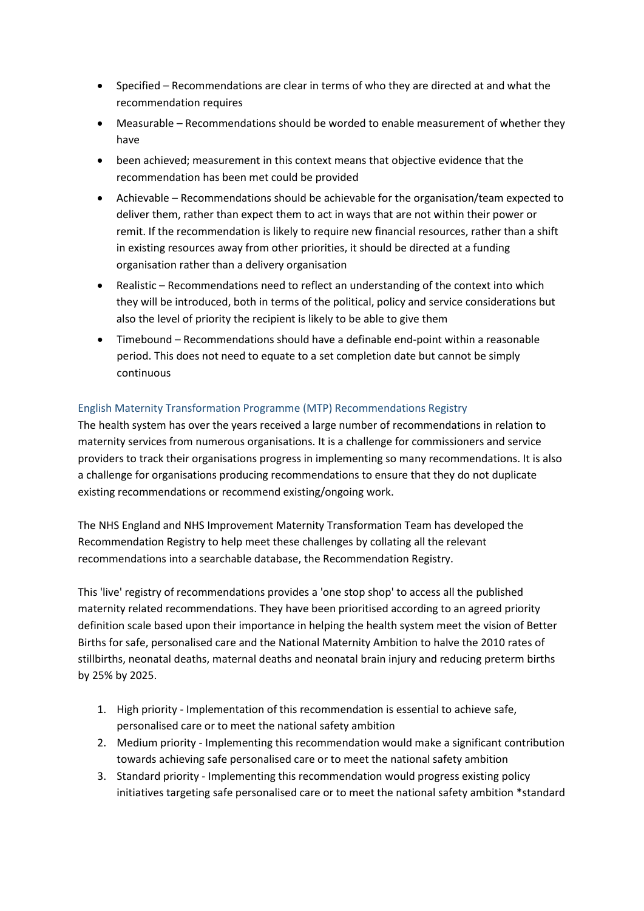- Specified Recommendations are clear in terms of who they are directed at and what the recommendation requires
- Measurable Recommendations should be worded to enable measurement of whether they have
- been achieved; measurement in this context means that objective evidence that the recommendation has been met could be provided
- Achievable Recommendations should be achievable for the organisation/team expected to deliver them, rather than expect them to act in ways that are not within their power or remit. If the recommendation is likely to require new financial resources, rather than a shift in existing resources away from other priorities, it should be directed at a funding organisation rather than a delivery organisation
- Realistic Recommendations need to reflect an understanding of the context into which they will be introduced, both in terms of the political, policy and service considerations but also the level of priority the recipient is likely to be able to give them
- Timebound Recommendations should have a definable end-point within a reasonable period. This does not need to equate to a set completion date but cannot be simply continuous

## English Maternity Transformation Programme (MTP) Recommendations Registry

The health system has over the years received a large number of recommendations in relation to maternity services from numerous organisations. It is a challenge for commissioners and service providers to track their organisations progress in implementing so many recommendations. It is also a challenge for organisations producing recommendations to ensure that they do not duplicate existing recommendations or recommend existing/ongoing work.

The NHS England and NHS Improvement Maternity Transformation Team has developed the Recommendation Registry to help meet these challenges by collating all the relevant recommendations into a searchable database, the Recommendation Registry.

This 'live' registry of recommendations provides a 'one stop shop' to access all the published maternity related recommendations. They have been prioritised according to an agreed priority definition scale based upon their importance in helping the health system meet the vision of Better Births for safe, personalised care and the National Maternity Ambition to halve the 2010 rates of stillbirths, neonatal deaths, maternal deaths and neonatal brain injury and reducing preterm births by 25% by 2025.

- 1. High priority Implementation of this recommendation is essential to achieve safe, personalised care or to meet the national safety ambition
- 2. Medium priority Implementing this recommendation would make a significant contribution towards achieving safe personalised care or to meet the national safety ambition
- 3. Standard priority Implementing this recommendation would progress existing policy initiatives targeting safe personalised care or to meet the national safety ambition \*standard